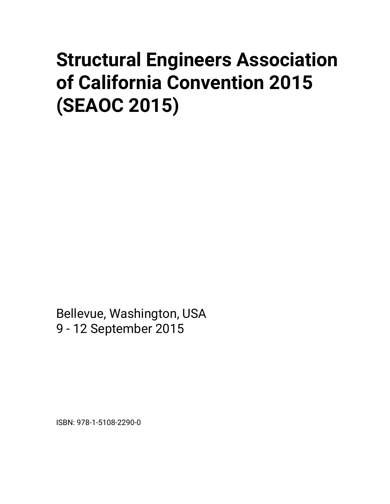# **Structural Engineers Association of California Convention 2015 (SEAOC 2015)**

Bellevue, Washington, USA 9 - 12 September 2015

ISBN: 978-1-5108-2290-0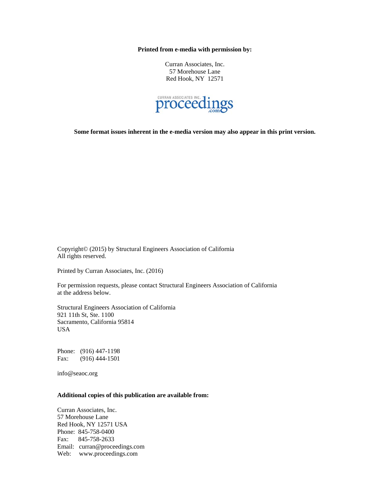**Printed from e-media with permission by:** 

Curran Associates, Inc. 57 Morehouse Lane Red Hook, NY 12571



**Some format issues inherent in the e-media version may also appear in this print version.** 

Copyright© (2015) by Structural Engineers Association of California All rights reserved.

Printed by Curran Associates, Inc. (2016)

For permission requests, please contact Structural Engineers Association of California at the address below.

Structural Engineers Association of California 921 11th St, Ste. 1100 Sacramento, California 95814 USA

Phone: (916) 447-1198 Fax: (916) 444-1501

info@seaoc.org

#### **Additional copies of this publication are available from:**

Curran Associates, Inc. 57 Morehouse Lane Red Hook, NY 12571 USA Phone: 845-758-0400 Fax: 845-758-2633 Email: curran@proceedings.com Web: www.proceedings.com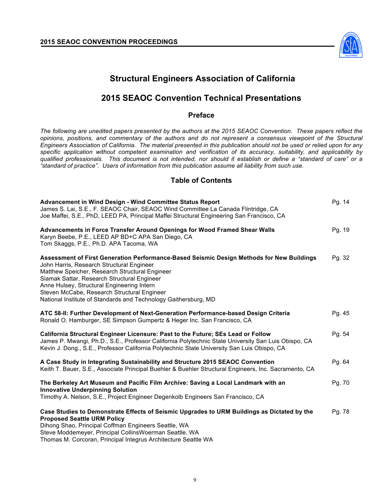

# **Structural Engineers Association of California**

## **2015 SEAOC Convention Technical Presentations**

#### **Preface**

*The following are unedited papers presented by the authors at the 2015 SEAOC Convention. These papers reflect the opinions, positions, and commentary of the authors and do not represent a consensus viewpoint of the Structural Engineers Association of California. The material presented in this publication should not be used or relied upon for any specific application without competent examination and verification of its accuracy, suitability, and applicability by qualified professionals. This document is not intended, nor should it establish or define a "standard of care" or a "standard of practice". Users of information from this publication assume all liability from such use.*

#### **Table of Contents**

| <b>Advancement in Wind Design - Wind Committee Status Report</b><br>James S. Lai, S.E., F. SEAOC Chair, SEAOC Wind Committee La Canada Flintridge, CA<br>Joe Maffei, S.E., PhD, LEED PA, Principal Maffei Structural Engineering San Francisco, CA                                                                                                                                                      | Pg. 14 |
|---------------------------------------------------------------------------------------------------------------------------------------------------------------------------------------------------------------------------------------------------------------------------------------------------------------------------------------------------------------------------------------------------------|--------|
| Advancements in Force Transfer Around Openings for Wood Framed Shear Walls<br>Karyn Beebe, P.E., LEED AP BD+C APA San Diego, CA<br>Tom Skaggs, P.E., Ph.D. APA Tacoma, WA                                                                                                                                                                                                                               | Pg. 19 |
| Assessment of First Generation Performance-Based Seismic Design Methods for New Buildings<br>John Harris, Research Structural Engineer<br>Matthew Speicher, Research Structural Engineer<br>Siamak Sattar, Research Structural Engineer<br>Anne Hulsey, Structural Engineering Intern<br>Steven McCabe, Research Structural Engineer<br>National Institute of Standards and Technology Gaithersburg, MD | Pg. 32 |
| ATC 58-II: Further Development of Next-Generation Performance-based Design Criteria<br>Ronald O. Hamburger, SE Simpson Gumpertz & Heger Inc. San Francisco, CA                                                                                                                                                                                                                                          | Pg. 45 |
| California Structural Engineer Licensure: Past to the Future; SEs Lead or Follow<br>James P. Mwangi, Ph.D., S.E., Professor California Polytechnic State University San Luis Obispo, CA<br>Kevin J. Dong., S.E., Professor California Polytechnic State University San Luis Obispo, CA                                                                                                                  | Pg. 54 |
| A Case Study in Integrating Sustainability and Structure 2015 SEAOC Convention<br>Keith T. Bauer, S.E., Associate Principal Buehler & Buehler Structural Engineers, Inc. Sacramento, CA                                                                                                                                                                                                                 | Pg. 64 |
| The Berkeley Art Museum and Pacific Film Archive: Saving a Local Landmark with an<br><b>Innovative Underpinning Solution</b><br>Timothy A. Nelson, S.E., Project Engineer Degenkolb Engineers San Francisco, CA                                                                                                                                                                                         | Pg. 70 |
| Case Studies to Demonstrate Effects of Seismic Upgrades to URM Buildings as Dictated by the<br><b>Proposed Seattle URM Policy</b><br>Dihong Shao, Principal Coffman Engineers Seattle, WA<br>Steve Moddemeyer, Principal CollinsWoerman Seattle, WA<br>Thomas M. Corcoran, Principal Integrus Architecture Seattle WA                                                                                   | Pg. 78 |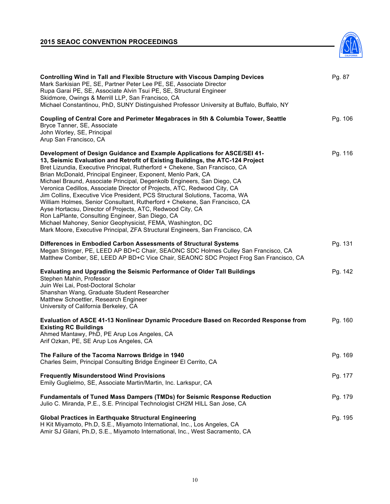## **2015 SEAOC CONVENTION PROCEEDINGS**



| <b>Controlling Wind in Tall and Flexible Structure with Viscous Damping Devices</b><br>Mark Sarkisian PE, SE, Partner Peter Lee PE, SE, Associate Director<br>Rupa Garai PE, SE, Associate Alvin Tsui PE, SE, Structural Engineer<br>Skidmore, Owings & Merrill LLP, San Francisco, CA<br>Michael Constantinou, PhD, SUNY Distinguished Professor University at Buffalo, Buffalo, NY                                                                                                                                                                                                                                                                                                                                                                                                                                                                                                          | Pg. 87  |
|-----------------------------------------------------------------------------------------------------------------------------------------------------------------------------------------------------------------------------------------------------------------------------------------------------------------------------------------------------------------------------------------------------------------------------------------------------------------------------------------------------------------------------------------------------------------------------------------------------------------------------------------------------------------------------------------------------------------------------------------------------------------------------------------------------------------------------------------------------------------------------------------------|---------|
| Coupling of Central Core and Perimeter Megabraces in 5th & Columbia Tower, Seattle<br>Bryce Tanner, SE, Associate<br>John Worley, SE, Principal<br>Arup San Francisco, CA                                                                                                                                                                                                                                                                                                                                                                                                                                                                                                                                                                                                                                                                                                                     | Pg. 106 |
| Development of Design Guidance and Example Applications for ASCE/SEI 41-<br>13, Seismic Evaluation and Retrofit of Existing Buildings, the ATC-124 Project<br>Bret Lizundia, Executive Principal, Rutherford + Chekene, San Francisco, CA<br>Brian McDonald, Principal Engineer, Exponent, Menlo Park, CA<br>Michael Braund, Associate Principal, Degenkolb Engineers, San Diego, CA<br>Veronica Cedillos, Associate Director of Projects, ATC, Redwood City, CA<br>Jim Collins, Executive Vice President, PCS Structural Solutions, Tacoma, WA<br>William Holmes, Senior Consultant, Rutherford + Chekene, San Francisco, CA<br>Ayse Hortacsu, Director of Projects, ATC, Redwood City, CA<br>Ron LaPlante, Consulting Engineer, San Diego, CA<br>Michael Mahoney, Senior Geophysicist, FEMA, Washington, DC<br>Mark Moore, Executive Principal, ZFA Structural Engineers, San Francisco, CA | Pg. 116 |
| Differences in Embodied Carbon Assessments of Structural Systems<br>Megan Stringer, PE, LEED AP BD+C Chair, SEAONC SDC Holmes Culley San Francisco, CA<br>Matthew Comber, SE, LEED AP BD+C Vice Chair, SEAONC SDC Project Frog San Francisco, CA                                                                                                                                                                                                                                                                                                                                                                                                                                                                                                                                                                                                                                              | Pg. 131 |
| <b>Evaluating and Upgrading the Seismic Performance of Older Tall Buildings</b><br>Stephen Mahin, Professor<br>Juin Wei Lai, Post-Doctoral Scholar<br>Shanshan Wang, Graduate Student Researcher<br>Matthew Schoettler, Research Engineer<br>University of California Berkeley, CA                                                                                                                                                                                                                                                                                                                                                                                                                                                                                                                                                                                                            | Pg. 142 |
| Evaluation of ASCE 41-13 Nonlinear Dynamic Procedure Based on Recorded Response from<br><b>Existing RC Buildings</b><br>Ahmed Mantawy, PhD, PE Arup Los Angeles, CA<br>Arif Ozkan, PE, SE Arup Los Angeles, CA                                                                                                                                                                                                                                                                                                                                                                                                                                                                                                                                                                                                                                                                                | Pg. 160 |
| The Failure of the Tacoma Narrows Bridge in 1940<br>Charles Seim, Principal Consulting Bridge Engineer El Cerrito, CA                                                                                                                                                                                                                                                                                                                                                                                                                                                                                                                                                                                                                                                                                                                                                                         | Pg. 169 |
| <b>Frequently Misunderstood Wind Provisions</b><br>Emily Guglielmo, SE, Associate Martin/Martin, Inc. Larkspur, CA                                                                                                                                                                                                                                                                                                                                                                                                                                                                                                                                                                                                                                                                                                                                                                            | Pg. 177 |
| <b>Fundamentals of Tuned Mass Dampers (TMDs) for Seismic Response Reduction</b><br>Julio C. Miranda, P.E., S.E. Principal Technologist CH2M HILL San Jose, CA                                                                                                                                                                                                                                                                                                                                                                                                                                                                                                                                                                                                                                                                                                                                 | Pg. 179 |
| <b>Global Practices in Earthquake Structural Engineering</b><br>H Kit Miyamoto, Ph.D, S.E., Miyamoto International, Inc., Los Angeles, CA<br>Amir SJ Gilani, Ph.D, S.E., Miyamoto International, Inc., West Sacramento, CA                                                                                                                                                                                                                                                                                                                                                                                                                                                                                                                                                                                                                                                                    | Pg. 195 |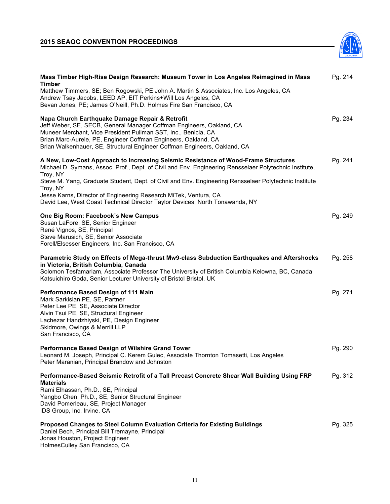## **2015 SEAOC CONVENTION PROCEEDINGS**



| Mass Timber High-Rise Design Research: Museum Tower in Los Angeles Reimagined in Mass<br>Timber                                                                                                                                                                                                                                          | Pg. 214 |
|------------------------------------------------------------------------------------------------------------------------------------------------------------------------------------------------------------------------------------------------------------------------------------------------------------------------------------------|---------|
| Matthew Timmers, SE; Ben Rogowski, PE John A. Martin & Associates, Inc. Los Angeles, CA<br>Andrew Tsay Jacobs, LEED AP, EIT Perkins+Will Los Angeles, CA<br>Bevan Jones, PE; James O'Neill, Ph.D. Holmes Fire San Francisco, CA                                                                                                          |         |
| Napa Church Earthquake Damage Repair & Retrofit<br>Jeff Weber, SE, SECB, General Manager Coffman Engineers, Oakland, CA<br>Muneer Merchant, Vice President Pullman SST, Inc., Benicia, CA<br>Brian Marc-Aurele, PE, Engineer Coffman Engineers, Oakland, CA<br>Brian Walkenhauer, SE, Structural Engineer Coffman Engineers, Oakland, CA | Pg. 234 |
| A New, Low-Cost Approach to Increasing Seismic Resistance of Wood-Frame Structures<br>Michael D. Symans, Assoc. Prof., Dept. of Civil and Env. Engineering Rensselaer Polytechnic Institute,<br>Troy, NY<br>Steve M. Yang, Graduate Student, Dept. of Civil and Env. Engineering Rensselaer Polytechnic Institute                        | Pg. 241 |
| Troy, NY<br>Jesse Karns, Director of Engineering Research MiTek, Ventura, CA<br>David Lee, West Coast Technical Director Taylor Devices, North Tonawanda, NY                                                                                                                                                                             |         |
| One Big Room: Facebook's New Campus<br>Susan LaFore, SE, Senior Engineer<br>René Vignos, SE, Principal<br>Steve Marusich, SE, Senior Associate<br>Forell/Elsesser Engineers, Inc. San Francisco, CA                                                                                                                                      | Pg. 249 |
| Parametric Study on Effects of Mega-thrust Mw9-class Subduction Earthquakes and Aftershocks<br>in Victoria, British Columbia, Canada<br>Solomon Tesfamariam, Associate Professor The University of British Columbia Kelowna, BC, Canada<br>Katsuichiro Goda, Senior Lecturer University of Bristol Bristol, UK                           | Pg. 258 |
| Performance Based Design of 111 Main<br>Mark Sarkisian PE, SE, Partner<br>Peter Lee PE, SE, Associate Director<br>Alvin Tsui PE, SE, Structural Engineer<br>Lachezar Handzhiyski, PE, Design Engineer<br>Skidmore, Owings & Merrill LLP<br>San Francisco, CA                                                                             | Pg. 271 |
| Performance Based Design of Wilshire Grand Tower<br>Leonard M. Joseph, Principal C. Kerem Gulec, Associate Thornton Tomasetti, Los Angeles<br>Peter Maranian, Principal Brandow and Johnston                                                                                                                                             | Pg. 290 |
| Performance-Based Seismic Retrofit of a Tall Precast Concrete Shear Wall Building Using FRP<br><b>Materials</b><br>Rami Elhassan, Ph.D., SE, Principal<br>Yangbo Chen, Ph.D., SE, Senior Structural Engineer<br>David Pomerleau, SE, Project Manager<br>IDS Group, Inc. Irvine, CA                                                       | Pg. 312 |
| Proposed Changes to Steel Column Evaluation Criteria for Existing Buildings<br>Daniel Bech, Principal Bill Tremayne, Principal<br>Jonas Houston, Project Engineer<br>HolmesCulley San Francisco, CA                                                                                                                                      | Pg. 325 |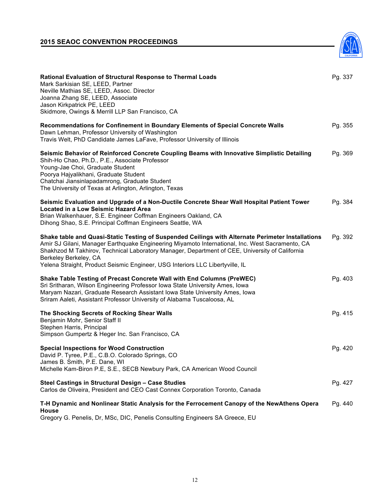

| Rational Evaluation of Structural Response to Thermal Loads<br>Mark Sarkisian SE, LEED, Partner<br>Neville Mathias SE, LEED, Assoc. Director<br>Joanna Zhang SE, LEED, Associate<br>Jason Kirkpatrick PE, LEED<br>Skidmore, Owings & Merrill LLP San Francisco, CA                                                                                                                                               | Pg. 337 |
|------------------------------------------------------------------------------------------------------------------------------------------------------------------------------------------------------------------------------------------------------------------------------------------------------------------------------------------------------------------------------------------------------------------|---------|
| Recommendations for Confinement in Boundary Elements of Special Concrete Walls<br>Dawn Lehman, Professor University of Washington<br>Travis Welt, PhD Candidate James LaFave, Professor University of Illinois                                                                                                                                                                                                   | Pg. 355 |
| Seismic Behavior of Reinforced Concrete Coupling Beams with Innovative Simplistic Detailing<br>Shih-Ho Chao, Ph.D., P.E., Associate Professor<br>Young-Jae Choi, Graduate Student<br>Poorya Hajyalikhani, Graduate Student<br>Chatchai Jiansinlapadamrong, Graduate Student<br>The University of Texas at Arlington, Arlington, Texas                                                                            | Pg. 369 |
| Seismic Evaluation and Upgrade of a Non-Ductile Concrete Shear Wall Hospital Patient Tower<br><b>Located in a Low Seismic Hazard Area</b><br>Brian Walkenhauer, S.E. Engineer Coffman Engineers Oakland, CA<br>Dihong Shao, S.E. Principal Coffman Engineers Seattle, WA                                                                                                                                         | Pg. 384 |
| Shake table and Quasi-Static Testing of Suspended Ceilings with Alternate Perimeter Installations<br>Amir SJ Gilani, Manager Earthquake Engineering Miyamoto International, Inc. West Sacramento, CA<br>Shakhzod M Takhirov, Technical Laboratory Manager, Department of CEE, University of California<br>Berkeley Berkeley, CA<br>Yelena Straight, Product Seismic Engineer, USG Interiors LLC Libertyville, IL | Pg. 392 |
| Shake Table Testing of Precast Concrete Wall with End Columns (PreWEC)<br>Sri Sritharan, Wilson Engineering Professor Iowa State University Ames, Iowa<br>Maryam Nazari, Graduate Research Assistant Iowa State University Ames, Iowa<br>Sriram Aaleti, Assistant Professor University of Alabama Tuscaloosa, AL                                                                                                 | Pg. 403 |
| The Shocking Secrets of Rocking Shear Walls<br>Benjamin Mohr, Senior Staff II<br>Stephen Harris, Principal<br>Simpson Gumpertz & Heger Inc. San Francisco, CA                                                                                                                                                                                                                                                    | Pg. 415 |
| <b>Special Inspections for Wood Construction</b><br>David P. Tyree, P.E., C.B.O. Colorado Springs, CO<br>James B. Smith, P.E. Dane, WI<br>Michelle Kam-Biron P.E, S.E., SECB Newbury Park, CA American Wood Council                                                                                                                                                                                              | Pg. 420 |
| Steel Castings in Structural Design - Case Studies<br>Carlos de Oliveira, President and CEO Cast Connex Corporation Toronto, Canada                                                                                                                                                                                                                                                                              | Pg. 427 |
| T-H Dynamic and Nonlinear Static Analysis for the Ferrocement Canopy of the NewAthens Opera<br>House<br>Gregory G. Penelis, Dr, MSc, DIC, Penelis Consulting Engineers SA Greece, EU                                                                                                                                                                                                                             | Pg. 440 |